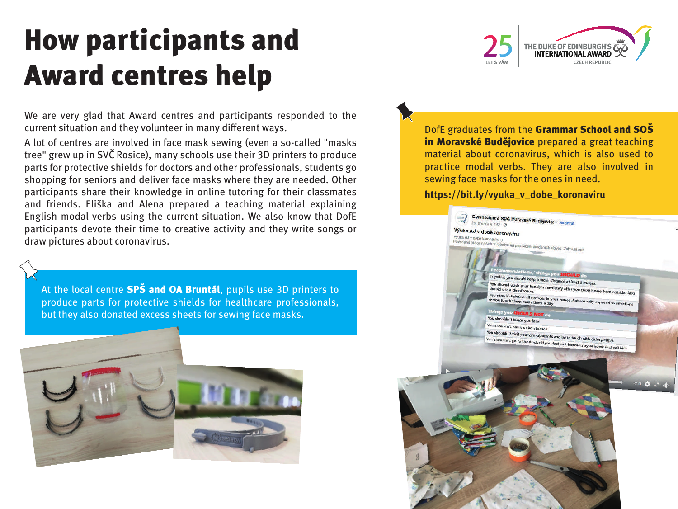## How participants and Award centres help

We are very glad that Award centres and participants responded to the current situation and they volunteer in many different ways.

A lot of centres are involved in face mask sewing (even a so-called "masks tree" grew up in SVČ Rosice), many schools use their 3D printers to produce parts for protective shields for doctors and other professionals, students go shopping for seniors and deliver face masks where they are needed. Other participants share their knowledge in online tutoring for their classmates and friends. Eliška and Alena prepared a teaching material explaining English modal verbs using the current situation. We also know that DofE participants devote their time to creative activity and they write songs or draw pictures about coronavirus.

At the local centre **SPS and OA Bruntál**, pupils use 3D printers to produce parts for protective shields for healthcare professionals, but they also donated excess sheets for sewing face masks.



DofE graduates from the Grammar School and SOŠ in Moravské Budějovice prepared a great teaching material about coronavirus, which is also used to practice modal verbs. They are also involved in sewing face masks for the ones in need.

## **https://bit.ly/vyuka\_v\_dobe\_koronaviru**